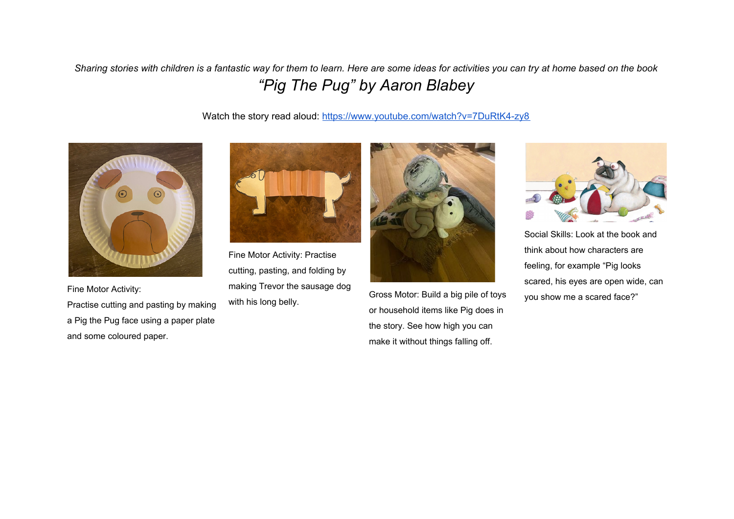Sharing stories with children is a fantastic way for them to learn. Here are some ideas for activities you can try at home based on the book *"Pig The Pug" by Aaron Blabey*

Watch the story read aloud: <https://www.youtube.com/watch?v=7DuRtK4-zy8>



Fine Motor Activity:

Practise cutting and pasting by making a Pig the Pug face using a paper plate and some coloured paper.



Fine Motor Activity: Practise cutting, pasting, and folding by making Trevor the sausage dog with his long belly.



Gross Motor: Build a big pile of toys or household items like Pig does in the story. See how high you can make it without things falling off.



Social Skills: Look at the book and think about how characters are feeling, for example "Pig looks scared, his eyes are open wide, can you show me a scared face?"